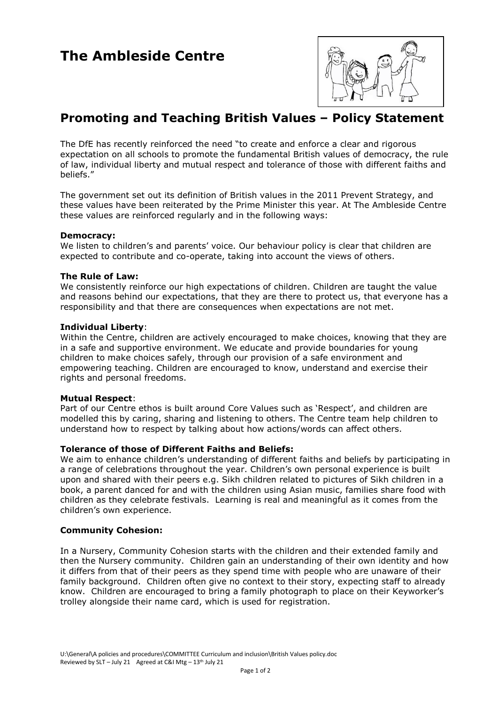

# **Promoting and Teaching British Values – Policy Statement**

The DfE has recently reinforced the need "to create and enforce a clear and rigorous expectation on all schools to promote the fundamental British values of democracy, the rule of law, individual liberty and mutual respect and tolerance of those with different faiths and beliefs."

The government set out its definition of British values in the 2011 Prevent Strategy, and these values have been reiterated by the Prime Minister this year. At The Ambleside Centre these values are reinforced regularly and in the following ways:

## **Democracy:**

We listen to children's and parents' voice. Our behaviour policy is clear that children are expected to contribute and co-operate, taking into account the views of others.

## **The Rule of Law:**

We consistently reinforce our high expectations of children. Children are taught the value and reasons behind our expectations, that they are there to protect us, that everyone has a responsibility and that there are consequences when expectations are not met.

#### **Individual Liberty**:

Within the Centre, children are actively encouraged to make choices, knowing that they are in a safe and supportive environment. We educate and provide boundaries for young children to make choices safely, through our provision of a safe environment and empowering teaching. Children are encouraged to know, understand and exercise their rights and personal freedoms.

#### **Mutual Respect**:

Part of our Centre ethos is built around Core Values such as 'Respect', and children are modelled this by caring, sharing and listening to others. The Centre team help children to understand how to respect by talking about how actions/words can affect others.

# **Tolerance of those of Different Faiths and Beliefs:**

We aim to enhance children's understanding of different faiths and beliefs by participating in a range of celebrations throughout the year. Children's own personal experience is built upon and shared with their peers e.g. Sikh children related to pictures of Sikh children in a book, a parent danced for and with the children using Asian music, families share food with children as they celebrate festivals. Learning is real and meaningful as it comes from the children's own experience.

# **Community Cohesion:**

In a Nursery, Community Cohesion starts with the children and their extended family and then the Nursery community. Children gain an understanding of their own identity and how it differs from that of their peers as they spend time with people who are unaware of their family background. Children often give no context to their story, expecting staff to already know. Children are encouraged to bring a family photograph to place on their Keyworker's trolley alongside their name card, which is used for registration.